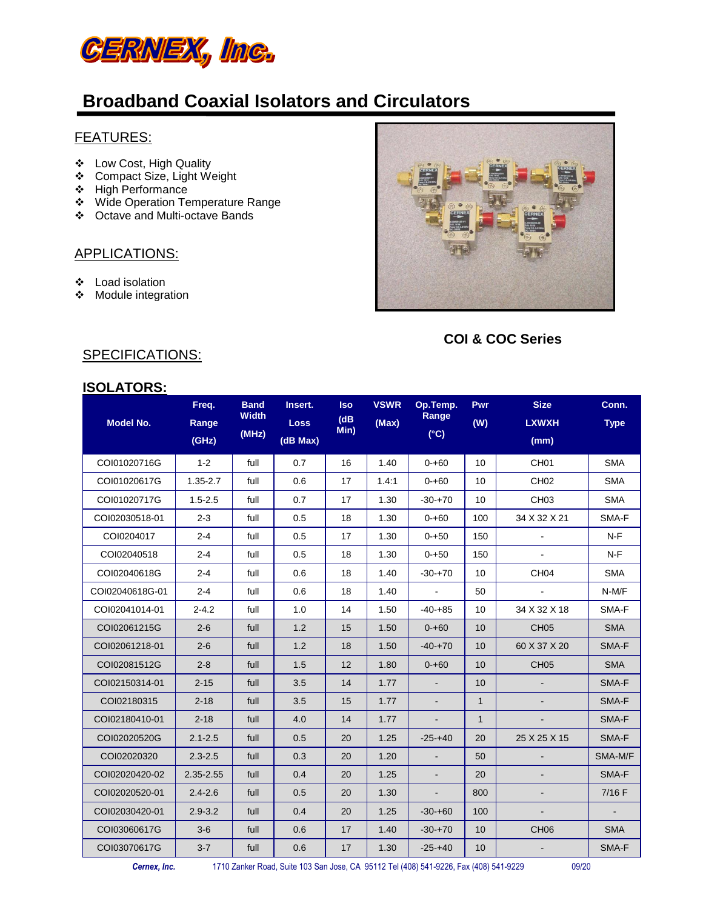

#### FEATURES:

- Low Cost, High Quality
- Compact Size, Light Weight
- High Performance
- Wide Operation Temperature Range
- Octave and Multi-octave Bands

#### APPLICATIONS:

- Load isolation
- Module integration



 **COI & COC Series**

#### SPECIFICATIONS:

| <b>ISOLATORS:</b> |
|-------------------|
|-------------------|

| <b>Model No.</b> | Freq.<br>Range<br>(GHz) | <b>Band</b><br><b>Width</b><br>(MHz) | Insert.<br><b>Loss</b><br>(dB Max) | <b>Iso</b><br>(dB)<br>Min) | <b>VSWR</b><br>(Max) | Op.Temp.<br>Range<br>$(^{\circ}C)$ | Pwr<br>(W)   | <b>Size</b><br><b>LXWXH</b><br>(mm) | Conn.<br><b>Type</b> |
|------------------|-------------------------|--------------------------------------|------------------------------------|----------------------------|----------------------|------------------------------------|--------------|-------------------------------------|----------------------|
| COI01020716G     | $1 - 2$                 | full                                 | 0.7                                | 16                         | 1.40                 | $0 - +60$                          | 10           | CH <sub>01</sub>                    | <b>SMA</b>           |
| COI01020617G     | $1.35 - 2.7$            | full                                 | 0.6                                | 17                         | 1.4:1                | $0 - 60$                           | 10           | CH <sub>02</sub>                    | <b>SMA</b>           |
| COI01020717G     | $1.5 - 2.5$             | full                                 | 0.7                                | 17                         | 1.30                 | $-30+70$                           | 10           | CH <sub>03</sub>                    | <b>SMA</b>           |
| COI02030518-01   | $2 - 3$                 | full                                 | 0.5                                | 18                         | 1.30                 | $0 - +60$                          | 100          | 34 X 32 X 21                        | SMA-F                |
| COI0204017       | $2 - 4$                 | full                                 | 0.5                                | 17                         | 1.30                 | $0 - +50$                          | 150          |                                     | $N-F$                |
| COI02040518      | $2 - 4$                 | full                                 | 0.5                                | 18                         | 1.30                 | $0 + 50$                           | 150          |                                     | $N-F$                |
| COI02040618G     | $2 - 4$                 | full                                 | 0.6                                | 18                         | 1.40                 | $-30+70$                           | 10           | CH <sub>04</sub>                    | <b>SMA</b>           |
| COI02040618G-01  | $2 - 4$                 | full                                 | 0.6                                | 18                         | 1.40                 | $\blacksquare$                     | 50           |                                     | N-M/F                |
| COI02041014-01   | $2 - 4.2$               | full                                 | 1.0                                | 14                         | 1.50                 | $-40-+85$                          | 10           | 34 X 32 X 18                        | SMA-F                |
| COI02061215G     | $2 - 6$                 | full                                 | 1.2                                | 15                         | 1.50                 | $0 - +60$                          | 10           | CH <sub>05</sub>                    | <b>SMA</b>           |
| COI02061218-01   | $2 - 6$                 | full                                 | 1.2                                | 18                         | 1.50                 | $-40-+70$                          | 10           | 60 X 37 X 20                        | SMA-F                |
| COI02081512G     | $2 - 8$                 | full                                 | 1.5                                | 12                         | 1.80                 | $0 - +60$                          | 10           | CH <sub>05</sub>                    | <b>SMA</b>           |
| COI02150314-01   | $2 - 15$                | full                                 | 3.5                                | 14                         | 1.77                 | $\blacksquare$                     | 10           |                                     | SMA-F                |
| COI02180315      | $2 - 18$                | full                                 | 3.5                                | 15                         | 1.77                 | $\blacksquare$                     | $\mathbf{1}$ |                                     | SMA-F                |
| COI02180410-01   | $2 - 18$                | full                                 | 4.0                                | 14                         | 1.77                 | $\blacksquare$                     | $\mathbf{1}$ |                                     | SMA-F                |
| COI02020520G     | $2.1 - 2.5$             | full                                 | 0.5                                | 20                         | 1.25                 | $-25 - +40$                        | 20           | 25 X 25 X 15                        | SMA-F                |
| COI02020320      | $2.3 - 2.5$             | full                                 | 0.3                                | 20                         | 1.20                 | $\blacksquare$                     | 50           |                                     | SMA-M/F              |
| COI02020420-02   | 2.35-2.55               | full                                 | 0.4                                | 20                         | 1.25                 | $\overline{a}$                     | 20           |                                     | SMA-F                |
| COI02020520-01   | $2.4 - 2.6$             | full                                 | 0.5                                | 20                         | 1.30                 | $\frac{1}{2}$                      | 800          |                                     | $7/16$ F             |
| COI02030420-01   | $2.9 - 3.2$             | full                                 | 0.4                                | 20                         | 1.25                 | $-30+60$                           | 100          |                                     |                      |
| COI03060617G     | $3-6$                   | full                                 | 0.6                                | 17                         | 1.40                 | $-30+70$                           | 10           | CH <sub>06</sub>                    | <b>SMA</b>           |
| COI03070617G     | $3 - 7$                 | full                                 | 0.6                                | 17                         | 1.30                 | $-25-140$                          | 10           |                                     | SMA-F                |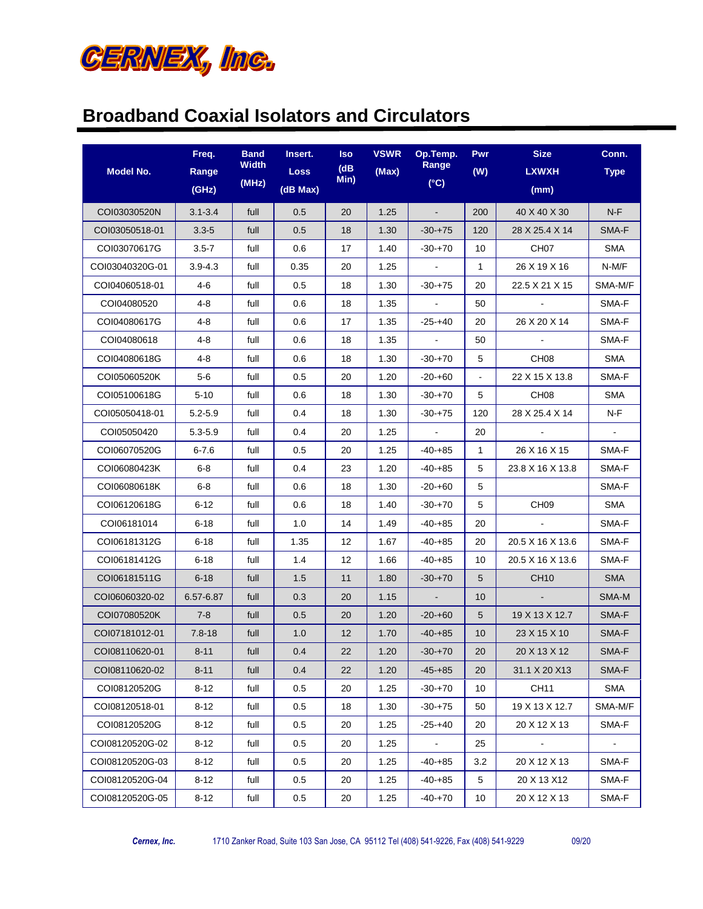

| <b>Model No.</b> | Freq.<br>Range | <b>Band</b><br>Width<br>(MHz) | Insert.<br><b>Loss</b> | <b>Iso</b><br>(dB)<br>Min) | <b>VSWR</b><br>(Max) | Op.Temp.<br>Range<br>(C) | <b>Pwr</b><br>(W) | <b>Size</b><br><b>LXWXH</b> | Conn.<br><b>Type</b> |
|------------------|----------------|-------------------------------|------------------------|----------------------------|----------------------|--------------------------|-------------------|-----------------------------|----------------------|
|                  | (GHz)          |                               | (dB Max)               |                            |                      |                          |                   | (mm)                        |                      |
| COI03030520N     | $3.1 - 3.4$    | full                          | 0.5                    | 20                         | 1.25                 | $\sim$                   | 200               | 40 X 40 X 30                | N-F                  |
| COI03050518-01   | $3.3 - 5$      | full                          | 0.5                    | 18                         | 1.30                 | -30-+75                  | 120               | 28 X 25.4 X 14              | SMA-F                |
| COI03070617G     | $3.5 - 7$      | full                          | 0.6                    | 17                         | 1.40                 | $-30+70$                 | 10                | CH <sub>07</sub>            | SMA                  |
| COI03040320G-01  | $3.9 - 4.3$    | full                          | 0.35                   | 20                         | 1.25                 | $\blacksquare$           | $\mathbf{1}$      | 26 X 19 X 16                | N-M/F                |
| COI04060518-01   | 4-6            | full                          | 0.5                    | 18                         | 1.30                 | $-30-+75$                | 20                | 22.5 X 21 X 15              | SMA-M/F              |
| COI04080520      | 4-8            | full                          | 0.6                    | 18                         | 1.35                 | $\sim$                   | 50                |                             | SMA-F                |
| COI04080617G     | 4-8            | full                          | 0.6                    | 17                         | 1.35                 | $-25 - +40$              | 20                | 26 X 20 X 14                | SMA-F                |
| COI04080618      | 4-8            | full                          | 0.6                    | 18                         | 1.35                 | $\blacksquare$           | 50                |                             | SMA-F                |
| COI04080618G     | 4-8            | full                          | 0.6                    | 18                         | 1.30                 | $-30+70$                 | 5                 | CH <sub>08</sub>            | SMA                  |
| COI05060520K     | $5-6$          | full                          | 0.5                    | 20                         | 1.20                 | -20-+60                  |                   | 22 X 15 X 13.8              | SMA-F                |
| COI05100618G     | 5-10           | full                          | 0.6                    | 18                         | 1.30                 | $-30+70$                 | 5                 | CH <sub>08</sub>            | SMA                  |
| COI05050418-01   | $5.2 - 5.9$    | full                          | 0.4                    | 18                         | 1.30                 | $-30+75$                 | 120               | 28 X 25.4 X 14              | N-F                  |
| COI05050420      | $5.3 - 5.9$    | full                          | 0.4                    | 20                         | 1.25                 | $\sim$                   | 20                | $\sim$                      | $\sim$               |
| COI06070520G     | $6 - 7.6$      | full                          | 0.5                    | 20                         | 1.25                 | $-40-+85$                | $\mathbf{1}$      | 26 X 16 X 15                | SMA-F                |
| COI06080423K     | 6-8            | full                          | 0.4                    | 23                         | 1.20                 | -40-+85                  | 5                 | 23.8 X 16 X 13.8            | SMA-F                |
| COI06080618K     | 6-8            | full                          | 0.6                    | 18                         | 1.30                 | -20-+60                  | 5                 |                             | SMA-F                |
| COI06120618G     | 6-12           | full                          | 0.6                    | 18                         | 1.40                 | $-30+70$                 | 5                 | CH <sub>09</sub>            | SMA                  |
| COI06181014      | 6-18           | full                          | 1.0                    | 14                         | 1.49                 | -40-+85                  | 20                |                             | SMA-F                |
| COI06181312G     | 6-18           | full                          | 1.35                   | 12                         | 1.67                 | $-40-+85$                | 20                | 20.5 X 16 X 13.6            | SMA-F                |
| COI06181412G     | 6-18           | full                          | 1.4                    | $12 \overline{ }$          | 1.66                 | -40-+85                  | 10                | 20.5 X 16 X 13.6            | SMA-F                |
| COI06181511G     | $6 - 18$       | full                          | 1.5                    | 11                         | 1.80                 | $-30+70$                 | 5                 | <b>CH10</b>                 | <b>SMA</b>           |
| COI06060320-02   | 6.57-6.87      | full                          | 0.3                    | 20                         | 1.15                 | $\sim$                   | 10                |                             | SMA-M                |
| COI07080520K     | $7 - 8$        | full                          | 0.5                    | 20                         | 1.20                 | $-20+60$                 | 5                 | 19 X 13 X 12.7              | SMA-F                |
| COI07181012-01   | $7.8 - 18$     | full                          | 1.0                    | 12                         | 1.70                 | $-40-+85$                | 10                | 23 X 15 X 10                | SMA-F                |
| COI08110620-01   | $8 - 11$       | full                          | 0.4                    | 22                         | 1.20                 | $-30-+70$                | 20                | 20 X 13 X 12                | SMA-F                |
| COI08110620-02   | $8 - 11$       | full                          | 0.4                    | 22                         | 1.20                 | $-45 - +85$              | 20                | 31.1 X 20 X13               | SMA-F                |
| COI08120520G     | 8-12           | full                          | 0.5                    | 20                         | 1.25                 | $-30-+70$                | 10                | CH11                        | <b>SMA</b>           |
| COI08120518-01   | 8-12           | full                          | 0.5                    | 18                         | 1.30                 | $-30-+75$                | 50                | 19 X 13 X 12.7              | SMA-M/F              |
| COI08120520G     | $8 - 12$       | full                          | 0.5                    | 20                         | 1.25                 | $-25 - +40$              | 20                | 20 X 12 X 13                | SMA-F                |
| COI08120520G-02  | 8-12           | full                          | 0.5                    | 20                         | 1.25                 | $\blacksquare$           | 25                | $\blacksquare$              | $\sim$               |
| COI08120520G-03  | 8-12           | full                          | 0.5                    | 20                         | 1.25                 | $-40-+85$                | 3.2               | 20 X 12 X 13                | SMA-F                |
| COI08120520G-04  | $8 - 12$       | full                          | 0.5                    | 20                         | 1.25                 | $-40-+85$                | 5                 | 20 X 13 X12                 | SMA-F                |
| COI08120520G-05  | $8 - 12$       | full                          | 0.5                    | 20                         | 1.25                 | $-40-+70$                | 10                | 20 X 12 X 13                | SMA-F                |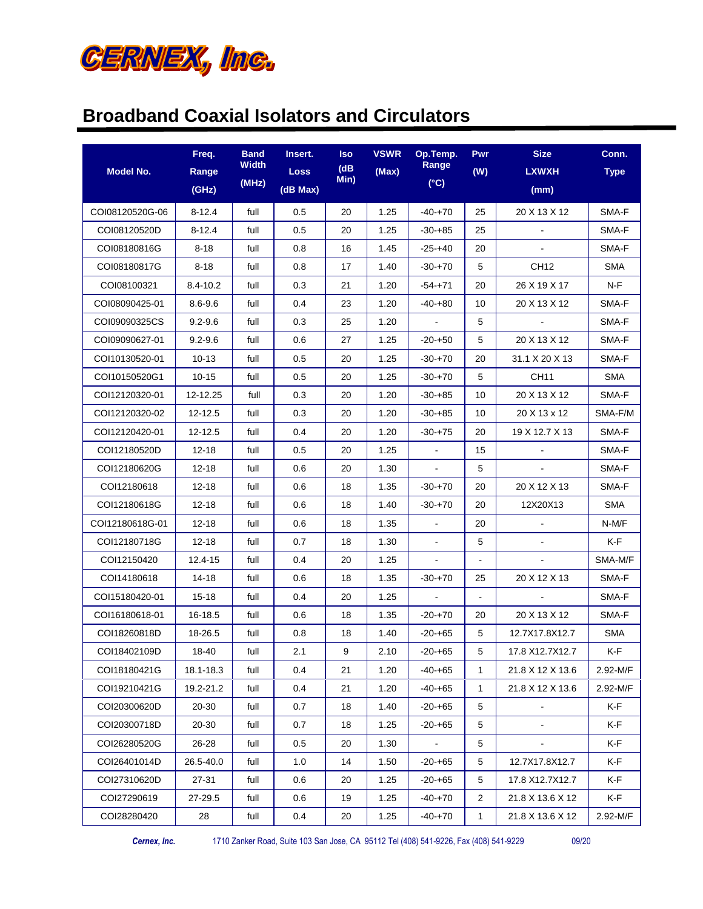

|                  | Freq.       | <b>Band</b> | Insert.     | <b>Iso</b>   | <b>VSWR</b> | Op.Temp.         | <b>Pwr</b>     | <b>Size</b>      | Conn.       |
|------------------|-------------|-------------|-------------|--------------|-------------|------------------|----------------|------------------|-------------|
| <b>Model No.</b> | Range       | Width       | <b>Loss</b> | (dB)<br>Min) | (Max)       | Range            | (W)            | <b>LXWXH</b>     | <b>Type</b> |
|                  | (GHz)       | (MHz)       | (dB Max)    |              |             | (C)              |                | (mm)             |             |
| COI08120520G-06  | 8-12.4      | full        | 0.5         | 20           | 1.25        | -40-+70          | 25             | 20 X 13 X 12     | SMA-F       |
| COI08120520D     | 8-12.4      | full        | 0.5         | 20           | 1.25        | $-30+85$         | 25             |                  | SMA-F       |
| COI08180816G     | $8 - 18$    | full        | 0.8         | 16           | 1.45        | $-25 - +40$      | 20             |                  | SMA-F       |
| COI08180817G     | 8-18        | full        | 0.8         | 17           | 1.40        | $-30+70$         | 5              | CH <sub>12</sub> | SMA         |
| COI08100321      | 8.4-10.2    | full        | 0.3         | 21           | 1.20        | -54-+71          | 20             | 26 X 19 X 17     | N-F         |
| COI08090425-01   | $8.6 - 9.6$ | full        | 0.4         | 23           | 1.20        | -40-+80          | 10             | 20 X 13 X 12     | SMA-F       |
| COI09090325CS    | $9.2 - 9.6$ | full        | 0.3         | 25           | 1.20        | $\omega_{\rm c}$ | 5              |                  | SMA-F       |
| COI09090627-01   | $9.2 - 9.6$ | full        | 0.6         | 27           | 1.25        | $-20-+50$        | 5              | 20 X 13 X 12     | SMA-F       |
| COI10130520-01   | $10 - 13$   | full        | 0.5         | 20           | 1.25        | $-30+70$         | 20             | 31.1 X 20 X 13   | SMA-F       |
| COI10150520G1    | $10 - 15$   | full        | 0.5         | 20           | 1.25        | $-30+70$         | 5              | CH11             | SMA         |
| COI12120320-01   | 12-12.25    | full        | 0.3         | 20           | 1.20        | $-30+85$         | 10             | 20 X 13 X 12     | SMA-F       |
| COI12120320-02   | 12-12.5     | full        | 0.3         | 20           | 1.20        | -30-+85          | 10             | 20 X 13 x 12     | SMA-F/M     |
| COI12120420-01   | 12-12.5     | full        | 0.4         | 20           | 1.20        | $-30+75$         | 20             | 19 X 12.7 X 13   | SMA-F       |
| COI12180520D     | $12 - 18$   | full        | 0.5         | 20           | 1.25        | $\blacksquare$   | 15             |                  | SMA-F       |
| COI12180620G     | 12-18       | full        | 0.6         | 20           | 1.30        | $\blacksquare$   | 5              |                  | SMA-F       |
| COI12180618      | 12-18       | full        | 0.6         | 18           | 1.35        | -30-+70          | 20             | 20 X 12 X 13     | SMA-F       |
| COI12180618G     | 12-18       | full        | 0.6         | 18           | 1.40        | $-30+70$         | 20             | 12X20X13         | SMA         |
| COI12180618G-01  | $12 - 18$   | full        | 0.6         | 18           | 1.35        | $\mathbf{r}$     | 20             |                  | N-M/F       |
| COI12180718G     | 12-18       | full        | 0.7         | 18           | 1.30        | $\blacksquare$   | 5              |                  | K-F         |
| COI12150420      | 12.4-15     | full        | 0.4         | 20           | 1.25        | $\blacksquare$   |                |                  | SMA-M/F     |
| COI14180618      | 14-18       | full        | 0.6         | 18           | 1.35        | $-30+70$         | 25             | 20 X 12 X 13     | SMA-F       |
| COI15180420-01   | $15 - 18$   | full        | 0.4         | 20           | 1.25        | $\blacksquare$   | $\blacksquare$ |                  | SMA-F       |
| COI16180618-01   | 16-18.5     | full        | 0.6         | 18           | 1.35        | $-20+70$         | 20             | 20 X 13 X 12     | SMA-F       |
| COI18260818D     | 18-26.5     | full        | 0.8         | 18           | 1.40        | -20-+65          | 5              | 12.7X17.8X12.7   | <b>SMA</b>  |
| COI18402109D     | 18-40       | full        | 2.1         | 9            | 2.10        | -20-+65          | 5              | 17.8 X12.7X12.7  | K-F         |
| COI18180421G     | 18.1-18.3   | full        | 0.4         | 21           | 1.20        | $-40-+65$        | $\mathbf{1}$   | 21.8 X 12 X 13.6 | 2.92-M/F    |
| COI19210421G     | 19.2-21.2   | full        | 0.4         | 21           | 1.20        | -40-+65          | $\mathbf{1}$   | 21.8 X 12 X 13.6 | 2.92-M/F    |
| COI20300620D     | 20-30       | full        | 0.7         | 18           | 1.40        | $-20-+65$        | 5              | $\blacksquare$   | K-F         |
| COI20300718D     | 20-30       | full        | 0.7         | 18           | 1.25        | $-20-+65$        | 5              |                  | K-F         |
| COI26280520G     | 26-28       | full        | 0.5         | 20           | 1.30        | $\blacksquare$   | 5              |                  | K-F         |
| COI26401014D     | 26.5-40.0   | full        | 1.0         | 14           | 1.50        | $-20-+65$        | 5              | 12.7X17.8X12.7   | K-F         |
| COI27310620D     | 27-31       | full        | 0.6         | 20           | 1.25        | $-20+65$         | 5              | 17.8 X12.7X12.7  | K-F         |
| COI27290619      | 27-29.5     | full        | 0.6         | 19           | 1.25        | -40-+70          | $\overline{2}$ | 21.8 X 13.6 X 12 | K-F         |
| COI28280420      | 28          | full        | 0.4         | 20           | 1.25        | $-40-+70$        | 1              | 21.8 X 13.6 X 12 | 2.92-M/F    |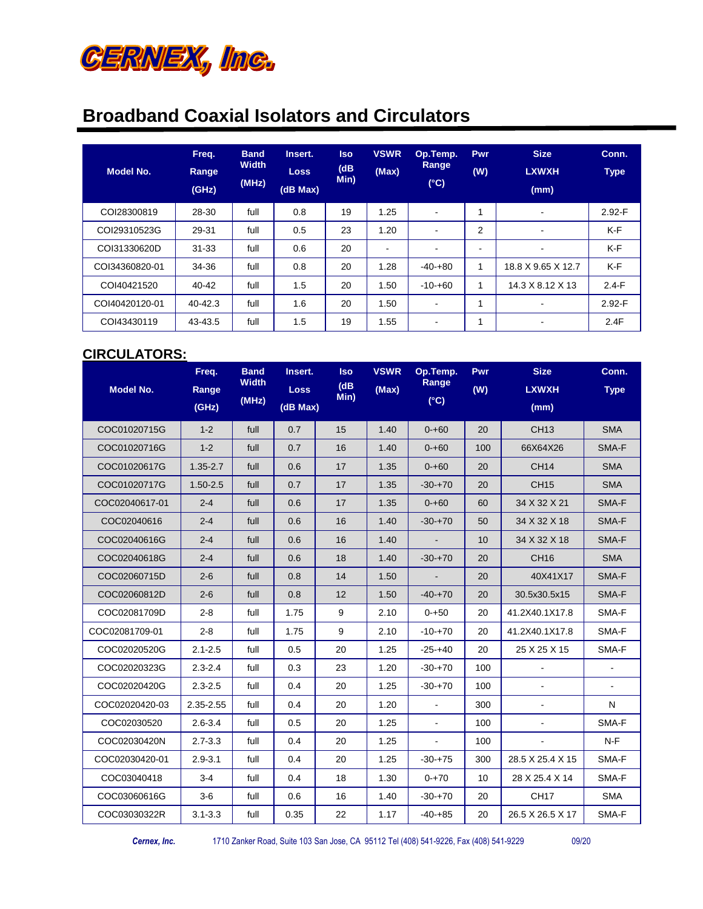

| <b>Model No.</b> | Freq.<br><b>Range</b><br>(GHz) | <b>Band</b><br><b>Width</b><br>(MHz) | Insert.<br><b>Loss</b><br>(dB Max) | <b>Iso</b><br>(dB)<br>Min) | <b>VSWR</b><br>(Max)     | Op.Temp.<br>Range<br>$(^{\circ}C)$ | <b>Pwr</b><br>(W) | <b>Size</b><br><b>LXWXH</b><br>(mm) | Conn.<br><b>Type</b> |
|------------------|--------------------------------|--------------------------------------|------------------------------------|----------------------------|--------------------------|------------------------------------|-------------------|-------------------------------------|----------------------|
| COI28300819      | 28-30                          | full                                 | 0.8                                | 19                         | 1.25                     | ۰                                  | 4                 |                                     | $2.92-F$             |
| COI29310523G     | 29-31                          | full                                 | 0.5                                | 23                         | 1.20                     | ٠                                  | 2                 | $\overline{\phantom{a}}$            | K-F                  |
| COI31330620D     | $31 - 33$                      | full                                 | 0.6                                | 20                         | $\overline{\phantom{a}}$ | ٠                                  | $\blacksquare$    |                                     | K-F                  |
| COI34360820-01   | 34-36                          | full                                 | 0.8                                | 20                         | 1.28                     | $-40-180$                          | 1                 | 18.8 X 9.65 X 12.7                  | K-F                  |
| COI40421520      | 40-42                          | full                                 | 1.5                                | 20                         | 1.50                     | $-10 - +60$                        | 1                 | 14.3 X 8.12 X 13                    | $2.4-F$              |
| COI40420120-01   | 40-42.3                        | full                                 | 1.6                                | 20                         | 1.50                     | ٠                                  | 1                 |                                     | $2.92-F$             |
| COI43430119      | 43-43.5                        | full                                 | 1.5                                | 19                         | 1.55                     | ٠                                  | ۸                 | $\overline{\phantom{a}}$            | 2.4F                 |

#### **CIRCULATORS:**

| <b>Model No.</b> | Freq.<br>Range | <b>Band</b><br><b>Width</b> | Insert.<br><b>Loss</b> | <b>Iso</b><br>(dB) | <b>VSWR</b><br>(Max) | Op.Temp.<br>Range | Pwr<br>(W) | <b>Size</b><br><b>LXWXH</b> | Conn.<br><b>Type</b> |
|------------------|----------------|-----------------------------|------------------------|--------------------|----------------------|-------------------|------------|-----------------------------|----------------------|
|                  | (GHz)          | (MHz)                       | (dB Max)               | Min)               |                      | (C)               |            | (mm)                        |                      |
| COC01020715G     | $1 - 2$        | full                        | 0.7                    | 15                 | 1.40                 | $0 - +60$         | 20         | <b>CH13</b>                 | <b>SMA</b>           |
| COC01020716G     | $1 - 2$        | full                        | 0.7                    | 16                 | 1.40                 | $0 - +60$         | 100        | 66X64X26                    | SMA-F                |
| COC01020617G     | $1.35 - 2.7$   | full                        | 0.6                    | 17                 | 1.35                 | $0 - +60$         | 20         | <b>CH14</b>                 | <b>SMA</b>           |
| COC01020717G     | $1.50 - 2.5$   | full                        | 0.7                    | 17                 | 1.35                 | $-30-+70$         | 20         | <b>CH15</b>                 | <b>SMA</b>           |
| COC02040617-01   | $2 - 4$        | full                        | 0.6                    | 17                 | 1.35                 | $0 - 60$          | 60         | 34 X 32 X 21                | SMA-F                |
| COC02040616      | $2 - 4$        | full                        | 0.6                    | 16                 | 1.40                 | $-30 + 70$        | 50         | 34 X 32 X 18                | SMA-F                |
| COC02040616G     | $2 - 4$        | full                        | 0.6                    | 16                 | 1.40                 |                   | 10         | 34 X 32 X 18                | SMA-F                |
| COC02040618G     | $2 - 4$        | full                        | 0.6                    | 18                 | 1.40                 | $-30-+70$         | 20         | CH <sub>16</sub>            | <b>SMA</b>           |
| COC02060715D     | $2 - 6$        | full                        | 0.8                    | 14                 | 1.50                 |                   | 20         | 40X41X17                    | SMA-F                |
| COC02060812D     | $2 - 6$        | full                        | 0.8                    | 12                 | 1.50                 | $-40-+70$         | 20         | 30.5x30.5x15                | SMA-F                |
| COC02081709D     | $2 - 8$        | full                        | 1.75                   | 9                  | 2.10                 | $0 - +50$         | 20         | 41.2X40.1X17.8              | SMA-F                |
| COC02081709-01   | $2 - 8$        | full                        | 1.75                   | 9                  | 2.10                 | $-10 - +70$       | 20         | 41.2X40.1X17.8              | SMA-F                |
| COC02020520G     | $2.1 - 2.5$    | full                        | 0.5                    | 20                 | 1.25                 | $-25 - +40$       | 20         | 25 X 25 X 15                | SMA-F                |
| COC02020323G     | $2.3 - 2.4$    | full                        | 0.3                    | 23                 | 1.20                 | $-30 + 70$        | 100        |                             |                      |
| COC02020420G     | $2.3 - 2.5$    | full                        | 0.4                    | 20                 | 1.25                 | $-30+70$          | 100        |                             |                      |
| COC02020420-03   | 2.35-2.55      | full                        | 0.4                    | 20                 | 1.20                 | $\overline{a}$    | 300        |                             | N                    |
| COC02030520      | $2.6 - 3.4$    | full                        | 0.5                    | 20                 | 1.25                 | $\mathbf{r}$      | 100        | $\blacksquare$              | SMA-F                |
| COC02030420N     | $2.7 - 3.3$    | full                        | 0.4                    | 20                 | 1.25                 |                   | 100        |                             | $N-F$                |
| COC02030420-01   | $2.9 - 3.1$    | full                        | 0.4                    | 20                 | 1.25                 | $-30 + 75$        | 300        | 28.5 X 25.4 X 15            | SMA-F                |
| COC03040418      | $3-4$          | full                        | 0.4                    | 18                 | 1.30                 | $0 - +70$         | 10         | 28 X 25.4 X 14              | SMA-F                |
| COC03060616G     | $3-6$          | full                        | 0.6                    | 16                 | 1.40                 | $-30 + 70$        | 20         | <b>CH17</b>                 | <b>SMA</b>           |
| COC03030322R     | $3.1 - 3.3$    | full                        | 0.35                   | 22                 | 1.17                 | $-40-+85$         | 20         | 26.5 X 26.5 X 17            | SMA-F                |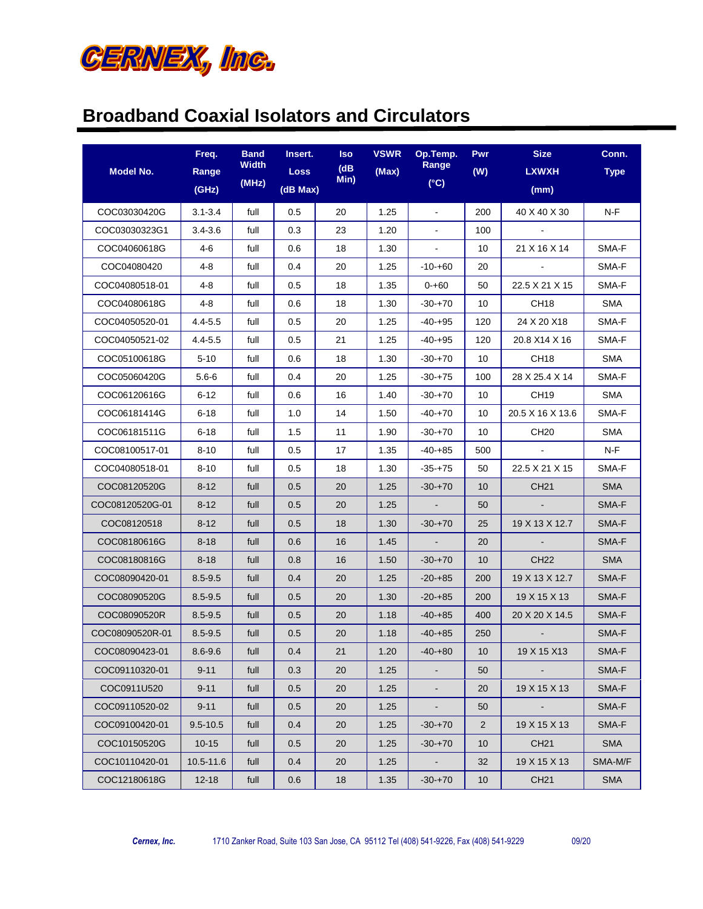

| Model No.       | Freq.<br>Range<br>(GHz) | <b>Band</b><br>Width<br>(MHz) | Insert.<br><b>Loss</b><br>(dB Max) | lso<br>(dB)<br>Min) | <b>VSWR</b><br>(Max) | Op.Temp.<br>Range<br>(C) | <b>Pwr</b><br>(W) | <b>Size</b><br><b>LXWXH</b><br>(mm) | Conn.<br><b>Type</b> |
|-----------------|-------------------------|-------------------------------|------------------------------------|---------------------|----------------------|--------------------------|-------------------|-------------------------------------|----------------------|
| COC03030420G    | $3.1 - 3.4$             | full                          | 0.5                                | 20                  | 1.25                 | $\blacksquare$           | 200               | 40 X 40 X 30                        | N-F                  |
| COC03030323G1   | $3.4 - 3.6$             | full                          | 0.3                                | 23                  | 1.20                 | $\blacksquare$           | 100               |                                     |                      |
| COC04060618G    | 4-6                     | full                          | 0.6                                | 18                  | 1.30                 | $\blacksquare$           | 10                | 21 X 16 X 14                        | SMA-F                |
| COC04080420     | 4-8                     | full                          | 0.4                                | 20                  | 1.25                 | $-10 - +60$              | 20                | $\sim$                              | SMA-F                |
| COC04080518-01  | 4-8                     | full                          | 0.5                                | 18                  | 1.35                 | $0 - +60$                | 50                | 22.5 X 21 X 15                      | SMA-F                |
| COC04080618G    | 4-8                     | full                          | 0.6                                | 18                  | 1.30                 | $-30 + 70$               | 10                | CH <sub>18</sub>                    | SMA                  |
| COC04050520-01  | $4.4 - 5.5$             | full                          | 0.5                                | 20                  | 1.25                 | $-40-+95$                | 120               | 24 X 20 X18                         | SMA-F                |
| COC04050521-02  | $4.4 - 5.5$             | full                          | 0.5                                | 21                  | 1.25                 | $-40-+95$                | 120               | 20.8 X14 X 16                       | SMA-F                |
| COC05100618G    | $5 - 10$                | full                          | 0.6                                | 18                  | 1.30                 | -30-+70                  | 10                | CH <sub>18</sub>                    | SMA                  |
| COC05060420G    | $5.6 - 6$               | full                          | 0.4                                | 20                  | 1.25                 | $-30 + 75$               | 100               | 28 X 25.4 X 14                      | SMA-F                |
| COC06120616G    | 6-12                    | full                          | 0.6                                | 16                  | 1.40                 | $-30 + 70$               | 10                | CH <sub>19</sub>                    | SMA                  |
| COC06181414G    | $6 - 18$                | full                          | 1.0                                | 14                  | 1.50                 | -40-+70                  | 10                | 20.5 X 16 X 13.6                    | SMA-F                |
| COC06181511G    | $6 - 18$                | full                          | 1.5                                | 11                  | 1.90                 | $-30+70$                 | 10                | CH <sub>20</sub>                    | SMA                  |
| COC08100517-01  | $8 - 10$                | full                          | 0.5                                | 17                  | 1.35                 | $-40-+85$                | 500               |                                     | N-F                  |
| COC04080518-01  | $8 - 10$                | full                          | 0.5                                | 18                  | 1.30                 | $-35 - +75$              | 50                | 22.5 X 21 X 15                      | SMA-F                |
| COC08120520G    | $8 - 12$                | full                          | 0.5                                | 20                  | 1.25                 | $-30+70$                 | 10 <sup>°</sup>   | CH <sub>21</sub>                    | <b>SMA</b>           |
| COC08120520G-01 | $8 - 12$                | full                          | 0.5                                | 20                  | 1.25                 |                          | 50                |                                     | SMA-F                |
| COC08120518     | $8 - 12$                | full                          | 0.5                                | 18                  | 1.30                 | $-30+70$                 | 25                | 19 X 13 X 12.7                      | SMA-F                |
| COC08180616G    | $8 - 18$                | full                          | 0.6                                | 16                  | 1.45                 | $\blacksquare$           | 20                |                                     | SMA-F                |
| COC08180816G    | $8 - 18$                | full                          | 0.8                                | 16                  | 1.50                 | $-30-+70$                | 10 <sup>°</sup>   | CH <sub>22</sub>                    | <b>SMA</b>           |
| COC08090420-01  | $8.5 - 9.5$             | full                          | 0.4                                | 20                  | 1.25                 | $-20+85$                 | 200               | 19 X 13 X 12.7                      | SMA-F                |
| COC08090520G    | $8.5 - 9.5$             | full                          | 0.5                                | 20                  | 1.30                 | $-20-185$                | 200               | 19 X 15 X 13                        | SMA-F                |
| COC08090520R    | $8.5 - 9.5$             | full                          | 0.5                                | 20                  | 1.18                 | $-40-+85$                | 400               | 20 X 20 X 14.5                      | SMA-F                |
| COC08090520R-01 | $8.5 - 9.5$             | full                          | 0.5                                | 20                  | 1.18                 | $-40-185$                | 250               |                                     | SMA-F                |
| COC08090423-01  | $8.6 - 9.6$             | full                          | 0.4                                | 21                  | 1.20                 | $-40-+80$                | 10 <sup>°</sup>   | 19 X 15 X13                         | SMA-F                |
| COC09110320-01  | $9 - 11$                | full                          | 0.3                                | 20                  | 1.25                 |                          | 50                |                                     | SMA-F                |
| COC0911U520     | $9 - 11$                | full                          | 0.5                                | 20                  | 1.25                 | $\blacksquare$           | 20                | 19 X 15 X 13                        | SMA-F                |
| COC09110520-02  | $9 - 11$                | full                          | 0.5                                | 20                  | 1.25                 | $\blacksquare$           | 50                | $\sim$                              | SMA-F                |
| COC09100420-01  | $9.5 - 10.5$            | full                          | 0.4                                | 20                  | 1.25                 | $-30+70$                 | $\overline{2}$    | 19 X 15 X 13                        | SMA-F                |
| COC10150520G    | $10 - 15$               | full                          | 0.5                                | 20                  | 1.25                 | $-30+70$                 | 10 <sup>°</sup>   | CH <sub>21</sub>                    | <b>SMA</b>           |
| COC10110420-01  | 10.5-11.6               | full                          | 0.4                                | 20                  | 1.25                 | $\blacksquare$           | 32                | 19 X 15 X 13                        | SMA-M/F              |
| COC12180618G    | $12 - 18$               | full                          | 0.6                                | 18                  | 1.35                 | $-30+70$                 | 10 <sup>°</sup>   | CH <sub>21</sub>                    | <b>SMA</b>           |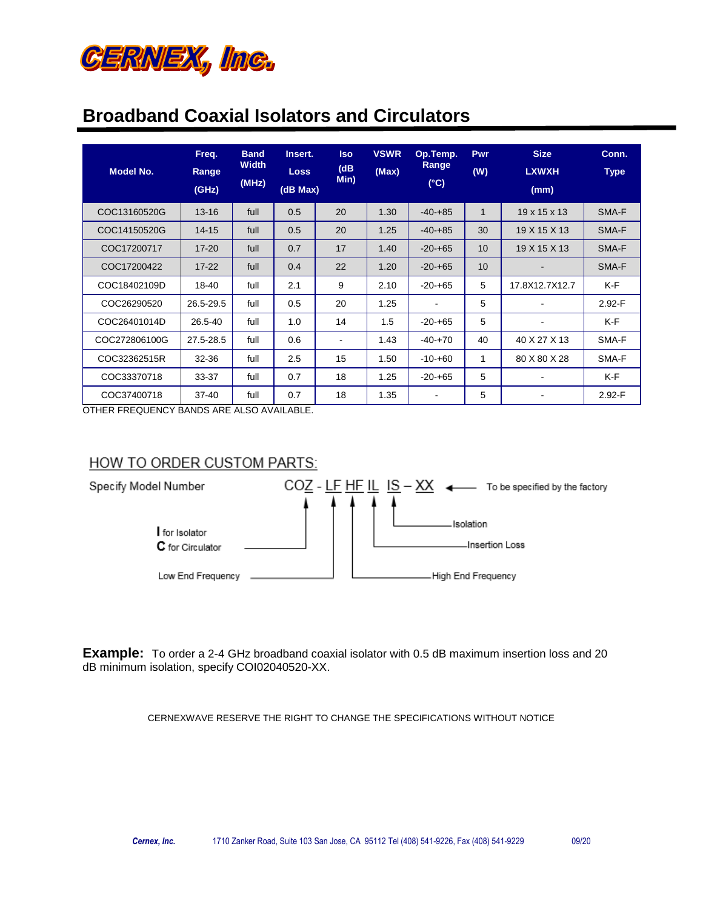

| <b>Model No.</b> | Freq.<br>Range<br>(GHz) | <b>Band</b><br><b>Width</b><br>(MHz) | Insert.<br><b>Loss</b><br>(dB Max) | <b>Iso</b><br>(dB)<br>Min) | <b>VSWR</b><br>(Max) | Op.Temp.<br>Range<br>$(^{\circ}C)$ | Pwr<br>(W)   | <b>Size</b><br><b>LXWXH</b><br>(mm) | Conn.<br><b>Type</b> |
|------------------|-------------------------|--------------------------------------|------------------------------------|----------------------------|----------------------|------------------------------------|--------------|-------------------------------------|----------------------|
| COC13160520G     | $13 - 16$               | full                                 | 0.5                                | 20                         | 1.30                 | $-40-+85$                          | $\mathbf{1}$ | 19 x 15 x 13                        | SMA-F                |
| COC14150520G     | $14 - 15$               | full                                 | 0.5                                | 20                         | 1.25                 | $-40-185$                          | 30           | 19 X 15 X 13                        | SMA-F                |
| COC17200717      | $17 - 20$               | full                                 | 0.7                                | 17                         | 1.40                 | $-20-+65$                          | 10           | 19 X 15 X 13                        | SMA-F                |
| COC17200422      | $17 - 22$               | full                                 | 0.4                                | 22                         | 1.20                 | $-20-+65$                          | 10           |                                     | SMA-F                |
| COC18402109D     | 18-40                   | full                                 | 2.1                                | 9                          | 2.10                 | $-20-+65$                          | 5            | 17.8X12.7X12.7                      | K-F                  |
| COC26290520      | 26.5-29.5               | full                                 | 0.5                                | 20                         | 1.25                 | ٠                                  | 5            |                                     | $2.92-F$             |
| COC26401014D     | 26.5-40                 | full                                 | 1.0                                | 14                         | 1.5                  | $-20-65$                           | 5            |                                     | $K-F$                |
| COC272806100G    | 27.5-28.5               | full                                 | 0.6                                | ٠                          | 1.43                 | $-40-+70$                          | 40           | 40 X 27 X 13                        | SMA-F                |
| COC32362515R     | 32-36                   | full                                 | 2.5                                | 15                         | 1.50                 | $-10 - +60$                        | 1            | 80 X 80 X 28                        | SMA-F                |
| COC33370718      | 33-37                   | full                                 | 0.7                                | 18                         | 1.25                 | $-20-+65$                          | 5            |                                     | $K-F$                |
| COC37400718      | $37 - 40$               | full                                 | 0.7                                | 18                         | 1.35                 | $\blacksquare$                     | 5            |                                     | $2.92 - F$           |

OTHER FREQUENCY BANDS ARE ALSO AVAILABLE.

#### HOW TO ORDER CUSTOM PARTS:



**Example:** To order a 2-4 GHz broadband coaxial isolator with 0.5 dB maximum insertion loss and 20 dB minimum isolation, specify COI02040520-XX.

CERNEXWAVE RESERVE THE RIGHT TO CHANGE THE SPECIFICATIONS WITHOUT NOTICE